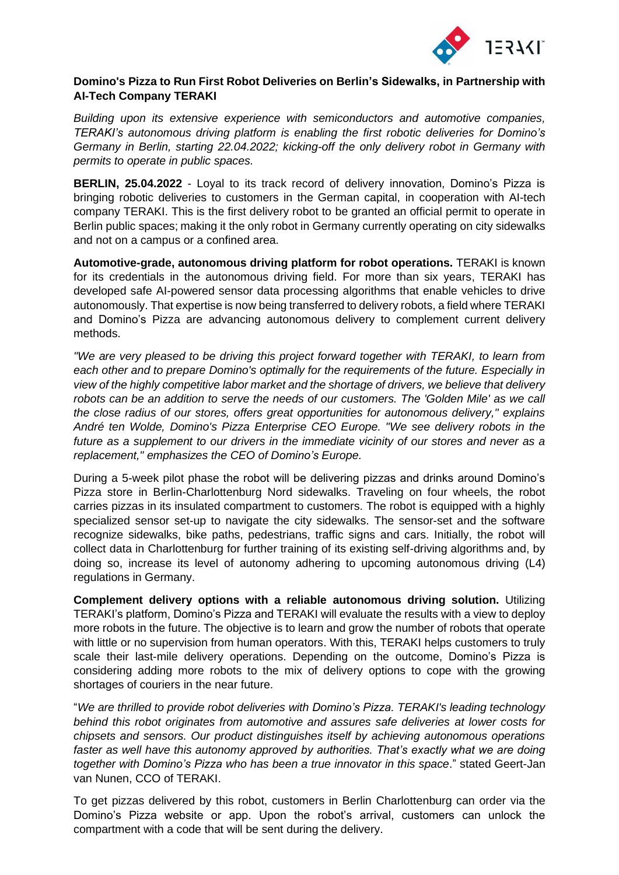

# **Domino's Pizza to Run First Robot Deliveries on Berlin's Sidewalks, in Partnership with AI-Tech Company TERAKI**

*Building upon its extensive experience with semiconductors and automotive companies, TERAKI's autonomous driving platform is enabling the first robotic deliveries for Domino's Germany in Berlin, starting 22.04.2022; kicking-off the only delivery robot in Germany with permits to operate in public spaces.*

**BERLIN, 25.04.2022** - Loyal to its track record of delivery innovation, Domino's Pizza is bringing robotic deliveries to customers in the German capital, in cooperation with AI-tech company TERAKI. This is the first delivery robot to be granted an official permit to operate in Berlin public spaces; making it the only robot in Germany currently operating on city sidewalks and not on a campus or a confined area.

**Automotive-grade, autonomous driving platform for robot operations.** TERAKI is known for its credentials in the autonomous driving field. For more than six years, TERAKI has developed safe AI-powered sensor data processing algorithms that enable vehicles to drive autonomously. That expertise is now being transferred to delivery robots, a field where TERAKI and Domino's Pizza are advancing autonomous delivery to complement current delivery methods.

*"We are very pleased to be driving this project forward together with TERAKI, to learn from each other and to prepare Domino's optimally for the requirements of the future. Especially in view of the highly competitive labor market and the shortage of drivers, we believe that delivery robots can be an addition to serve the needs of our customers. The 'Golden Mile' as we call the close radius of our stores, offers great opportunities for autonomous delivery," explains André ten Wolde, Domino's Pizza Enterprise CEO Europe. "We see delivery robots in the future as a supplement to our drivers in the immediate vicinity of our stores and never as a replacement," emphasizes the CEO of Domino's Europe.* 

During a 5-week pilot phase the robot will be delivering pizzas and drinks around Domino's Pizza store in Berlin-Charlottenburg Nord sidewalks. Traveling on four wheels, the robot carries pizzas in its insulated compartment to customers. The robot is equipped with a highly specialized sensor set-up to navigate the city sidewalks. The sensor-set and the software recognize sidewalks, bike paths, pedestrians, traffic signs and cars. Initially, the robot will collect data in Charlottenburg for further training of its existing self-driving algorithms and, by doing so, increase its level of autonomy adhering to upcoming autonomous driving (L4) regulations in Germany.

**Complement delivery options with a reliable autonomous driving solution.** Utilizing TERAKI's platform, Domino's Pizza and TERAKI will evaluate the results with a view to deploy more robots in the future. The objective is to learn and grow the number of robots that operate with little or no supervision from human operators. With this, TERAKI helps customers to truly scale their last-mile delivery operations. Depending on the outcome, Domino's Pizza is considering adding more robots to the mix of delivery options to cope with the growing shortages of couriers in the near future.

"*We are thrilled to provide robot deliveries with Domino's Pizza. TERAKI's leading technology behind this robot originates from automotive and assures safe deliveries at lower costs for chipsets and sensors. Our product distinguishes itself by achieving autonomous operations faster as well have this autonomy approved by authorities. That's exactly what we are doing together with Domino's Pizza who has been a true innovator in this space*." stated Geert-Jan van Nunen, CCO of TERAKI.

To get pizzas delivered by this robot, customers in Berlin Charlottenburg can order via the Domino's Pizza website or app. Upon the robot's arrival, customers can unlock the compartment with a code that will be sent during the delivery.